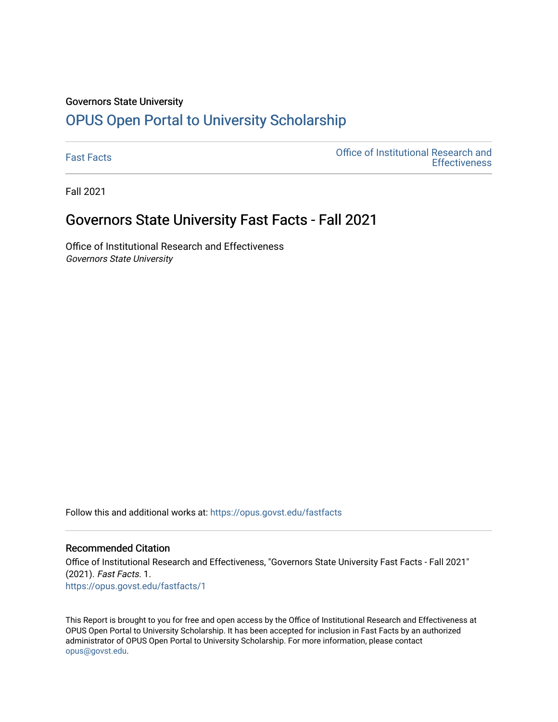#### Governors State University

# [OPUS Open Portal to University Scholarship](https://opus.govst.edu/)

[Fast Facts](https://opus.govst.edu/fastfacts) [Office of Institutional Research and](https://opus.govst.edu/ir)  **Effectiveness** 

Fall 2021

### Governors State University Fast Facts - Fall 2021

Office of Institutional Research and Effectiveness Governors State University

Follow this and additional works at: [https://opus.govst.edu/fastfacts](https://opus.govst.edu/fastfacts?utm_source=opus.govst.edu%2Ffastfacts%2F1&utm_medium=PDF&utm_campaign=PDFCoverPages)

### Recommended Citation

Office of Institutional Research and Effectiveness, "Governors State University Fast Facts - Fall 2021" (2021). Fast Facts. 1. [https://opus.govst.edu/fastfacts/1](https://opus.govst.edu/fastfacts/1?utm_source=opus.govst.edu%2Ffastfacts%2F1&utm_medium=PDF&utm_campaign=PDFCoverPages)

This Report is brought to you for free and open access by the Office of Institutional Research and Effectiveness at OPUS Open Portal to University Scholarship. It has been accepted for inclusion in Fast Facts by an authorized administrator of OPUS Open Portal to University Scholarship. For more information, please contact [opus@govst.edu](mailto:opus@govst.edu).